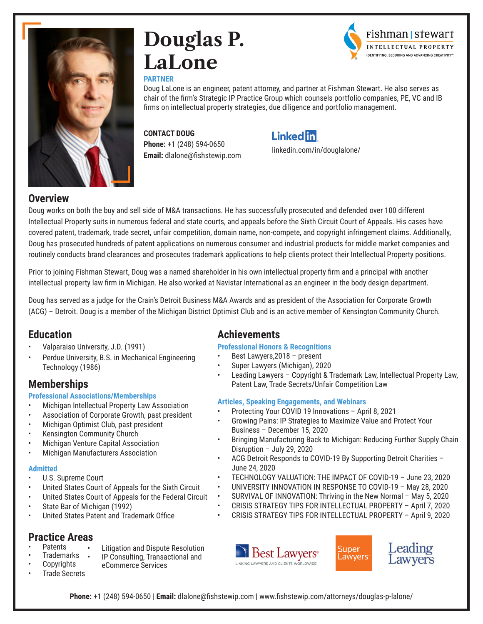

# **Douglas P. LaLone**

#### **PARTNER**



Doug LaLone is an engineer, patent attorney, and partner at Fishman Stewart. He also serves as chair of the firm's Strategic IP Practice Group which counsels portfolio companies, PE, VC and IB firms on intellectual property strategies, due diligence and portfolio management.

### **CONTACT DOUG**

**Phone:** +1 (248) 594-0650 **Email:** dlalone@fishstewip.com

## **Linked in**

[linkedin.com/in/douglalone/](http://linkedin.com/in/douglalone/)

#### **Overview**

Doug works on both the buy and sell side of M&A transactions. He has successfully prosecuted and defended over 100 different Intellectual Property suits in numerous federal and state courts, and appeals before the Sixth Circuit Court of Appeals. His cases have covered patent, trademark, trade secret, unfair competition, domain name, non-compete, and copyright infringement claims. Additionally, Doug has prosecuted hundreds of patent applications on numerous consumer and industrial products for middle market companies and routinely conducts brand clearances and prosecutes trademark applications to help clients protect their Intellectual Property positions.

Prior to joining Fishman Stewart, Doug was a named shareholder in his own intellectual property firm and a principal with another intellectual property law firm in Michigan. He also worked at Navistar International as an engineer in the body design department.

Doug has served as a judge for the Crain's Detroit Business M&A Awards and as president of the Association for Corporate Growth (ACG) – Detroit. Doug is a member of the Michigan District Optimist Club and is an active member of Kensington Community Church.

## **Education**

- Valparaiso University, J.D. (1991)
- Perdue University, B.S. in Mechanical Engineering Technology (1986)

## **Memberships**

#### **Professional Associations/Memberships**

- Michigan Intellectual Property Law Association
- Association of Corporate Growth, past president
- Michigan Optimist Club, past president
- Kensington Community Church
- Michigan Venture Capital Association
- Michigan Manufacturers Association

#### **Admitted**

- U.S. Supreme Court
- United States Court of Appeals for the Sixth Circuit
- United States Court of Appeals for the Federal Circuit
- State Bar of Michigan (1992)
- United States Patent and Trademark Office

## **Practice Areas**

- **Patents**
- Litigation and Dispute Resolution
- Trademarks **Copyrights** 
	- IP Consulting, Transactional and eCommerce Services
- Trade Secrets

## **Achievements**

#### **Professional Honors & Recognitions**

- Best Lawyers,2018 present
- Super Lawyers (Michigan), 2020
- Leading Lawyers Copyright & Trademark Law, Intellectual Property Law, Patent Law, Trade Secrets/Unfair Competition Law

#### **Articles, Speaking Engagements, and Webinars**

- Protecting Your COVID 19 Innovations April 8, 2021
- Growing Pains: IP Strategies to Maximize Value and Protect Your Business – December 15, 2020
- Bringing Manufacturing Back to Michigan: Reducing Further Supply Chain Disruption – July 29, 2020
- ACG Detroit Responds to COVID-19 By Supporting Detroit Charities June 24, 2020
- TECHNOLOGY VALUATION: THE IMPACT OF COVID-19 June 23, 2020
- UNIVERSITY INNOVATION IN RESPONSE TO COVID-19 May 28, 2020
- SURVIVAL OF INNOVATION: Thriving in the New Normal May 5, 2020
- CRISIS STRATEGY TIPS FOR INTELLECTUAL PROPERTY April 7, 2020
- CRISIS STRATEGY TIPS FOR INTELLECTUAL PROPERTY April 9, 2020